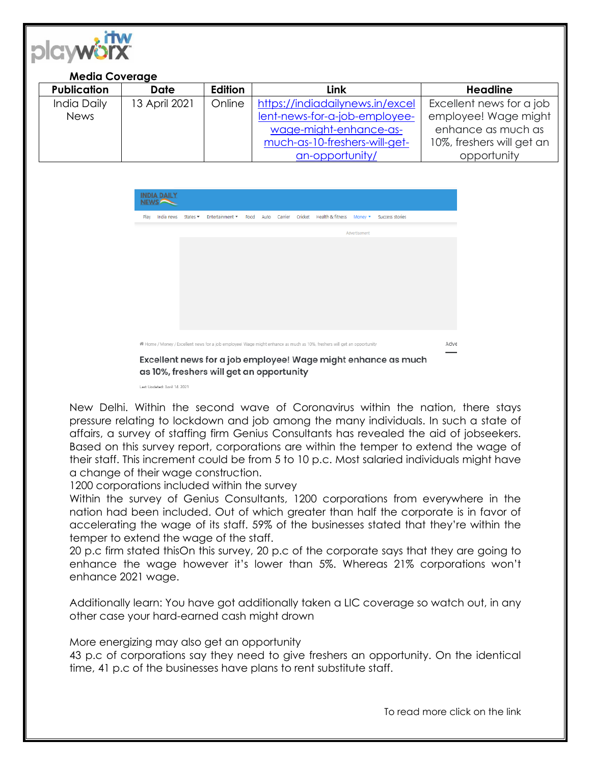

## **Media Coverage**

| <b>Publication</b> | <b>Date</b>   | <b>Edition</b> | Link                            | <b>Headline</b>           |
|--------------------|---------------|----------------|---------------------------------|---------------------------|
| India Daily        | 13 April 2021 | Online         | https://indiadailynews.in/excel | Excellent news for a job  |
| <b>News</b>        |               |                | lent-news-for-a-job-employee-   | employee! Wage might      |
|                    |               |                | wage-might-enhance-as-          | enhance as much as        |
|                    |               |                | much-as-10-freshers-will-get-   | 10%, freshers will get an |
|                    |               |                | an-opportunity/                 | opportunity               |



New Delhi. Within the second wave of Coronavirus within the nation, there stays pressure relating to lockdown and job among the many individuals. In such a state of affairs, a survey of staffing firm Genius Consultants has revealed the aid of jobseekers. Based on this survey report, corporations are within the temper to extend the wage of their staff. This increment could be from 5 to 10 p.c. Most salaried individuals might have a change of their wage construction.

1200 corporations included within the survey

Within the survey of Genius Consultants, 1200 corporations from everywhere in the nation had been included. Out of which greater than half the corporate is in favor of accelerating the wage of its staff. 59% of the businesses stated that they're within the temper to extend the wage of the staff.

20 p.c firm stated thisOn this survey, 20 p.c of the corporate says that they are going to enhance the wage however it's lower than 5%. Whereas 21% corporations won't enhance 2021 wage.

Additionally learn: You have got additionally taken a LIC coverage so watch out, in any other case your hard-earned cash might drown

More energizing may also get an opportunity

43 p.c of corporations say they need to give freshers an opportunity. On the identical time, 41 p.c of the businesses have plans to rent substitute staff.

To read more click on the link